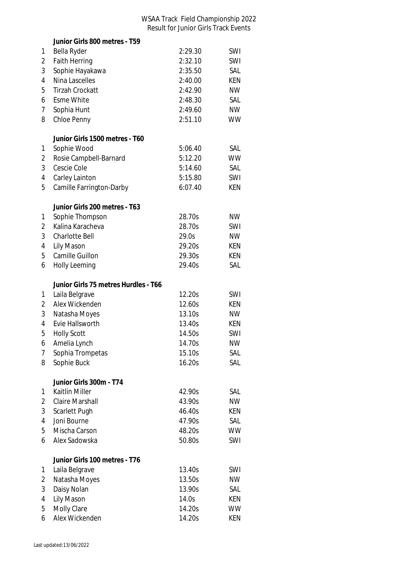## WSAA Track Field Championship 2022 Result for Junior Girls Track Events

|                | Junior Girls 800 metres - T59             |         |            |
|----------------|-------------------------------------------|---------|------------|
| 1              | Bella Ryder                               | 2:29.30 | SWI        |
| 2              | <b>Faith Herring</b>                      | 2:32.10 | SWI        |
| 3              | Sophie Hayakawa                           | 2:35.50 | SAL        |
| $\overline{4}$ | Nina Lascelles                            | 2:40.00 | <b>KEN</b> |
| 5              | <b>Tirzah Crockatt</b>                    | 2:42.90 | <b>NW</b>  |
| 6              | <b>Esme White</b>                         | 2:48.30 | SAL        |
| 7              | Sophia Hunt                               | 2:49.60 | <b>NW</b>  |
| 8              | Chloe Penny                               | 2:51.10 | WW         |
|                |                                           |         |            |
|                | Junior Girls 1500 metres - T60            |         |            |
| 1              | Sophie Wood                               | 5:06.40 | SAL        |
| 2              | Rosie Campbell-Barnard                    | 5:12.20 | <b>WW</b>  |
| 3              | Cescie Cole                               | 5:14.60 | SAL        |
| 4              | Carley Lainton                            | 5:15.80 | SWI        |
| 5              | Camille Farrington-Darby                  | 6:07.40 | KEN        |
|                | Junior Girls 200 metres - T63             |         |            |
| 1              | Sophie Thompson                           | 28.70s  | <b>NW</b>  |
| $\overline{2}$ | Kalina Karacheva                          | 28.70s  | SWI        |
| 3              | Charlotte Bell                            | 29.0s   | <b>NW</b>  |
| 4              | Lily Mason                                | 29.20s  | KEN        |
| 5              | Camille Guillon                           | 29.30s  | KEN        |
| 6              | <b>Holly Leeming</b>                      | 29.40s  | SAL        |
|                | Junior Girls 75 metres Hurdles - T66      |         |            |
| 1              | Laila Belgrave                            | 12.20s  | SWI        |
| 2              | Alex Wickenden                            | 12.60s  | KEN        |
| 3              | Natasha Moyes                             | 13.10s  | <b>NW</b>  |
| 4              | Evie Hallsworth                           | 13.40s  | KEN        |
| 5              | <b>Holly Scott</b>                        | 14.50s  | SWI        |
| 6              | Amelia Lynch                              | 14.70s  | <b>NW</b>  |
| 7              | Sophia Trompetas                          | 15.10s  | SAL        |
| 8              | Sophie Buck                               | 16.20s  | SAL        |
|                |                                           |         |            |
|                | Junior Girls 300m - T74<br>Kaitlin Miller | 42.90s  | SAL        |
| 1<br>2         | <b>Claire Marshall</b>                    | 43.90s  | <b>NW</b>  |
| 3              |                                           | 46.40s  |            |
|                | Scarlett Pugh                             |         | KEN        |
| 4              |                                           |         |            |
|                | Joni Bourne                               | 47.90s  | SAL        |
| 5              | Mischa Carson                             | 48.20s  | <b>WW</b>  |
| 6              | Alex Sadowska                             | 50.80s  | SWI        |
|                | Junior Girls 100 metres - T76             |         |            |
| 1              | Laila Belgrave                            | 13.40s  | SWI        |
| 2              | Natasha Moyes                             | 13.50s  | <b>NW</b>  |
| 3              | Daisy Nolan                               | 13.90s  | SAL        |
| 4              | Lily Mason                                | 14.0s   | KEN        |
| 5              | Molly Clare                               | 14.20s  | WW         |